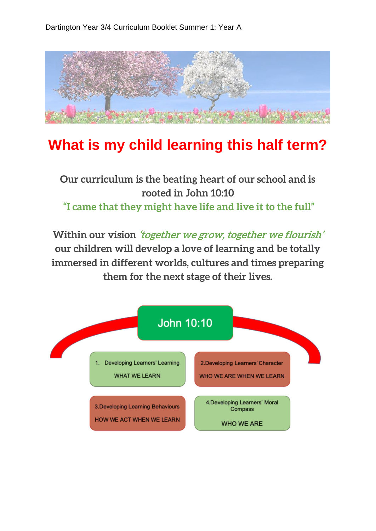

## **What is my child learning this half term?**

## **Our curriculum is the beating heart of our school and is rooted in John 10:10 "I came that they might have life and live it to the full"**

**Within our vision 'together we grow, together we flourish' our children will develop a love of learning and be totally immersed in different worlds, cultures and times preparing them for the next stage of their lives.**